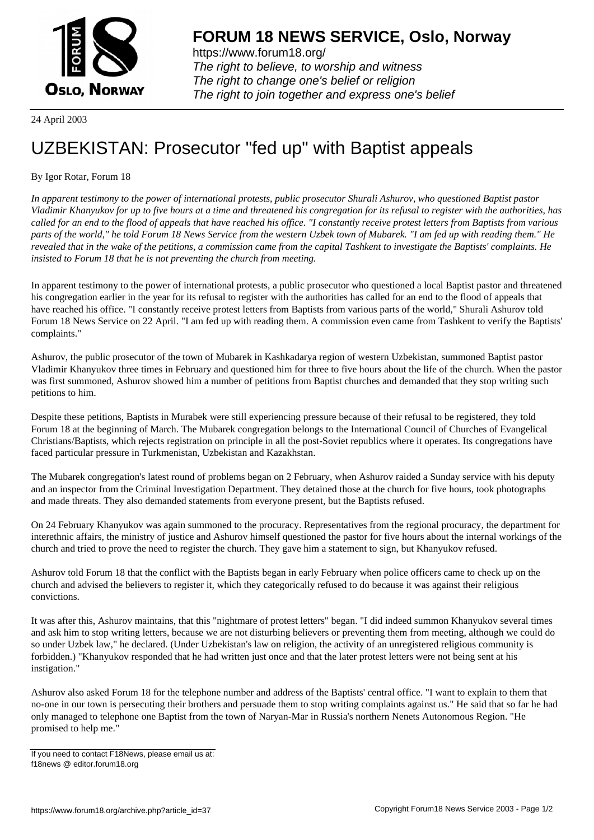

https://www.forum18.org/ The right to believe, to worship and witness The right to change one's belief or religion [The right to join together a](https://www.forum18.org/)nd express one's belief

24 April 2003

## [UZBEKISTAN:](https://www.forum18.org) Prosecutor "fed up" with Baptist appeals

## By Igor Rotar, Forum 18

*In apparent testimony to the power of international protests, public prosecutor Shurali Ashurov, who questioned Baptist pastor Vladimir Khanyukov for up to five hours at a time and threatened his congregation for its refusal to register with the authorities, has called for an end to the flood of appeals that have reached his office. "I constantly receive protest letters from Baptists from various parts of the world," he told Forum 18 News Service from the western Uzbek town of Mubarek. "I am fed up with reading them." He revealed that in the wake of the petitions, a commission came from the capital Tashkent to investigate the Baptists' complaints. He insisted to Forum 18 that he is not preventing the church from meeting.*

In apparent testimony to the power of international protests, a public prosecutor who questioned a local Baptist pastor and threatened his congregation earlier in the year for its refusal to register with the authorities has called for an end to the flood of appeals that have reached his office. "I constantly receive protest letters from Baptists from various parts of the world," Shurali Ashurov told Forum 18 News Service on 22 April. "I am fed up with reading them. A commission even came from Tashkent to verify the Baptists' complaints."

Ashurov, the public prosecutor of the town of Mubarek in Kashkadarya region of western Uzbekistan, summoned Baptist pastor Vladimir Khanyukov three times in February and questioned him for three to five hours about the life of the church. When the pastor was first summoned, Ashurov showed him a number of petitions from Baptist churches and demanded that they stop writing such petitions to him.

Despite these petitions, Baptists in Murabek were still experiencing pressure because of their refusal to be registered, they told Forum 18 at the beginning of March. The Mubarek congregation belongs to the International Council of Churches of Evangelical Christians/Baptists, which rejects registration on principle in all the post-Soviet republics where it operates. Its congregations have faced particular pressure in Turkmenistan, Uzbekistan and Kazakhstan.

The Mubarek congregation's latest round of problems began on 2 February, when Ashurov raided a Sunday service with his deputy and an inspector from the Criminal Investigation Department. They detained those at the church for five hours, took photographs and made threats. They also demanded statements from everyone present, but the Baptists refused.

On 24 February Khanyukov was again summoned to the procuracy. Representatives from the regional procuracy, the department for interethnic affairs, the ministry of justice and Ashurov himself questioned the pastor for five hours about the internal workings of the church and tried to prove the need to register the church. They gave him a statement to sign, but Khanyukov refused.

Ashurov told Forum 18 that the conflict with the Baptists began in early February when police officers came to check up on the church and advised the believers to register it, which they categorically refused to do because it was against their religious convictions.

It was after this, Ashurov maintains, that this "nightmare of protest letters" began. "I did indeed summon Khanyukov several times and ask him to stop writing letters, because we are not disturbing believers or preventing them from meeting, although we could do so under Uzbek law," he declared. (Under Uzbekistan's law on religion, the activity of an unregistered religious community is forbidden.) "Khanyukov responded that he had written just once and that the later protest letters were not being sent at his instigation."

Ashurov also asked Forum 18 for the telephone number and address of the Baptists' central office. "I want to explain to them that no-one in our town is persecuting their brothers and persuade them to stop writing complaints against us." He said that so far he had only managed to telephone one Baptist from the town of Naryan-Mar in Russia's northern Nenets Autonomous Region. "He promised to help me."

If you need to contact F18News, please email us at: f18news @ editor.forum18.org